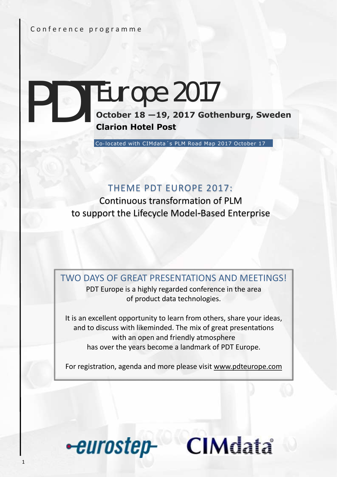#### Conference programme

# **PDT EUMPE 2017**<br> **October 18 –19, 2017 Gothenburg, Sweden**<br> **Clarion Hotel Post Clarion Hotel Post** Europe 2017

Co-located with CIMdata´s PLM Road Map 2017 October 17

### THEME PDT EUROPE 2017:

Continuous transformation of PLM to support the Lifecycle Model-Based Enterprise

TWO DAYS OF GREAT PRESENTATIONS AND MEETINGS!

PDT Europe is a highly regarded conference in the area of product data technologies.

It is an excellent opportunity to learn from others, share your ideas, and to discuss with likeminded. The mix of great presentations with an open and friendly atmosphere has over the years become a landmark of PDT Europe.

For registration, agenda and more please visit [www.pdteurope.com](http://www.pdteurope.com/)



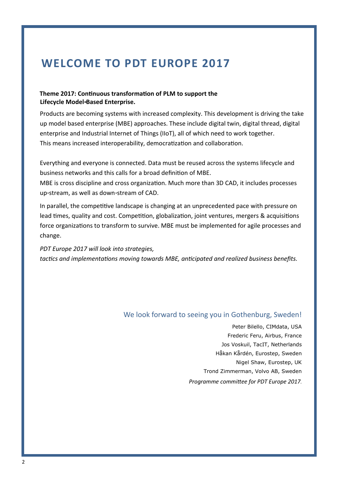### **WELCOME TO PDT EUROPE 2017**

#### **Theme 2017: Continuous transformation of PLM to support the Lifecycle Model-Based Enterprise.**

Products are becoming systems with increased complexity. This development is driving the take up model based enterprise (MBE) approaches. These include digital twin, digital thread, digital enterprise and Industrial Internet of Things (IIoT), all of which need to work together. This means increased interoperability, democratization and collaboration.

Everything and everyone is connected. Data must be reused across the systems lifecycle and business networks and this calls for a broad definition of MBE.

MBE is cross discipline and cross organization. Much more than 3D CAD, it includes processes up-stream, as well as down-stream of CAD.

In parallel, the competitive landscape is changing at an unprecedented pace with pressure on lead times, quality and cost. Competition, globalization, joint ventures, mergers & acquisitions force organizations to transform to survive. MBE must be implemented for agile processes and change.

*PDT Europe 2017 will look into strategies, tactics and implementations moving towards MBE, anticipated and realized business benefits.*

#### We look forward to seeing you in Gothenburg, Sweden!

Peter Bilello, CIMdata, USA Frederic Feru, Airbus, France Jos Voskuil, TacIT, Netherlands Håkan Kårdén, Eurostep, Sweden Nigel Shaw, Eurostep, UK Trond Zimmerman, Volvo AB, Sweden *Programme committee for PDT Europe 2017.*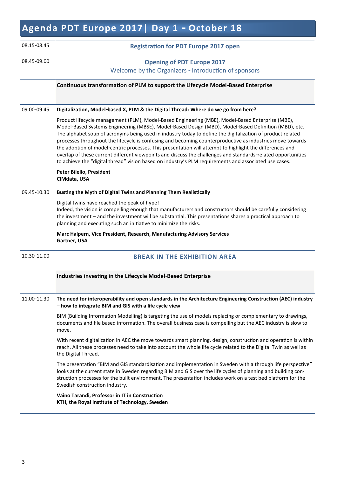### **Agenda PDT Europe 2017| Day 1 - October 18**

| 08.15-08.45 | <b>Registration for PDT Europe 2017 open</b>                                                                                                                                                                                                                                                                                                                                                                                                                                                                                                                                                                                                                                                                                                                             |
|-------------|--------------------------------------------------------------------------------------------------------------------------------------------------------------------------------------------------------------------------------------------------------------------------------------------------------------------------------------------------------------------------------------------------------------------------------------------------------------------------------------------------------------------------------------------------------------------------------------------------------------------------------------------------------------------------------------------------------------------------------------------------------------------------|
| 08.45-09.00 | <b>Opening of PDT Europe 2017</b>                                                                                                                                                                                                                                                                                                                                                                                                                                                                                                                                                                                                                                                                                                                                        |
|             | Welcome by the Organizers - Introduction of sponsors                                                                                                                                                                                                                                                                                                                                                                                                                                                                                                                                                                                                                                                                                                                     |
|             | Continuous transformation of PLM to support the Lifecycle Model-Based Enterprise                                                                                                                                                                                                                                                                                                                                                                                                                                                                                                                                                                                                                                                                                         |
|             |                                                                                                                                                                                                                                                                                                                                                                                                                                                                                                                                                                                                                                                                                                                                                                          |
| 09.00-09.45 | Digitalization, Model-based X, PLM & the Digital Thread: Where do we go from here?                                                                                                                                                                                                                                                                                                                                                                                                                                                                                                                                                                                                                                                                                       |
|             | Product lifecycle management (PLM), Model-Based Engineering (MBE), Model-Based Enterprise (MBE),<br>Model-Based Systems Engineering (MBSE), Model-Based Design (MBD), Model-Based Definition (MBD), etc.<br>The alphabet soup of acronyms being used in industry today to define the digitalization of product related<br>processes throughout the lifecycle is confusing and becoming counterproductive as industries move towards<br>the adoption of model-centric processes. This presentation will attempt to highlight the differences and<br>overlap of these current different viewpoints and discuss the challenges and standards-related opportunities<br>to achieve the "digital thread" vision based on industry's PLM requirements and associated use cases. |
|             | Peter Bilello, President<br>CIMdata, USA                                                                                                                                                                                                                                                                                                                                                                                                                                                                                                                                                                                                                                                                                                                                 |
| 09.45-10.30 | Busting the Myth of Digital Twins and Planning Them Realistically                                                                                                                                                                                                                                                                                                                                                                                                                                                                                                                                                                                                                                                                                                        |
|             | Digital twins have reached the peak of hype!<br>Indeed, the vision is compelling enough that manufacturers and constructors should be carefully considering<br>the investment - and the investment will be substantial. This presentations shares a practical approach to<br>planning and executing such an initiative to minimize the risks.                                                                                                                                                                                                                                                                                                                                                                                                                            |
|             | Marc Halpern, Vice President, Research, Manufacturing Advisory Services<br>Gartner, USA                                                                                                                                                                                                                                                                                                                                                                                                                                                                                                                                                                                                                                                                                  |
| 10.30-11.00 | <b>BREAK IN THE EXHIBITION AREA</b>                                                                                                                                                                                                                                                                                                                                                                                                                                                                                                                                                                                                                                                                                                                                      |
|             | Industries investing in the Lifecycle Model-Based Enterprise                                                                                                                                                                                                                                                                                                                                                                                                                                                                                                                                                                                                                                                                                                             |
| 11.00-11.30 | The need for interoperability and open standards in the Architecture Engineering Construction (AEC) industry<br>- how to integrate BIM and GIS with a life cycle view                                                                                                                                                                                                                                                                                                                                                                                                                                                                                                                                                                                                    |
|             | BIM (Building Information Modelling) is targeting the use of models replacing or complementary to drawings,<br>documents and file based information. The overall business case is compelling but the AEC industry is slow to<br>move.                                                                                                                                                                                                                                                                                                                                                                                                                                                                                                                                    |
|             | With recent digitalization in AEC the move towards smart planning, design, construction and operation is within<br>reach. All these processes need to take into account the whole life cycle related to the Digital Twin as well as<br>the Digital Thread.                                                                                                                                                                                                                                                                                                                                                                                                                                                                                                               |
|             | The presentation "BIM and GIS standardisation and implementation in Sweden with a through life perspective"<br>looks at the current state in Sweden regarding BIM and GIS over the life cycles of planning and building con-<br>struction processes for the built environment. The presentation includes work on a test bed platform for the<br>Swedish construction industry.                                                                                                                                                                                                                                                                                                                                                                                           |
|             | Väino Tarandi, Professor in IT in Construction<br>KTH, the Royal Institute of Technology, Sweden                                                                                                                                                                                                                                                                                                                                                                                                                                                                                                                                                                                                                                                                         |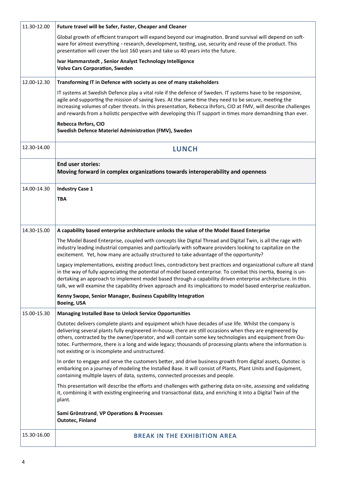| 11.30-12.00 | Future travel will be Safer, Faster, Cheaper and Cleaner                                                                                                                                                                                                                                                                                                                                                                                                                                         |  |
|-------------|--------------------------------------------------------------------------------------------------------------------------------------------------------------------------------------------------------------------------------------------------------------------------------------------------------------------------------------------------------------------------------------------------------------------------------------------------------------------------------------------------|--|
|             | Global growth of efficient transport will expand beyond our imagination. Brand survival will depend on soft-<br>ware for almost everything - research, development, testing, use, security and reuse of the product. This<br>presentation will cover the last 160 years and take us 40 years into the future.                                                                                                                                                                                    |  |
|             | Ivar Hammarstedt, Senior Analyst Technology Intelligence<br><b>Volvo Cars Corporation, Sweden</b>                                                                                                                                                                                                                                                                                                                                                                                                |  |
| 12.00-12.30 | Transforming IT in Defence with society as one of many stakeholders                                                                                                                                                                                                                                                                                                                                                                                                                              |  |
|             | IT systems at Swedish Defence play a vital role if the defence of Sweden. IT systems have to be responsive,<br>agile and supporting the mission of saving lives. At the same time they need to be secure, meeting the<br>increasing volumes of cyber threats. In this presentation, Rebecca Ihrfors, CIO at FMV, will describe challenges<br>and rewards from a holistic perspective with developing this IT support in times more demandning than ever.                                         |  |
|             | Rebecca Ihrfors, CIO<br>Swedish Defence Materiel Administration (FMV), Sweden                                                                                                                                                                                                                                                                                                                                                                                                                    |  |
| 12.30-14.00 | <b>LUNCH</b>                                                                                                                                                                                                                                                                                                                                                                                                                                                                                     |  |
|             | <b>End user stories:</b><br>Moving forward in complex organizations towards interoperability and openness                                                                                                                                                                                                                                                                                                                                                                                        |  |
| 14.00-14.30 | <b>Industry Case 1</b>                                                                                                                                                                                                                                                                                                                                                                                                                                                                           |  |
|             | <b>TBA</b>                                                                                                                                                                                                                                                                                                                                                                                                                                                                                       |  |
|             |                                                                                                                                                                                                                                                                                                                                                                                                                                                                                                  |  |
| 14.30-15.00 | A capability based enterprise architecture unlocks the value of the Model Based Enterprise                                                                                                                                                                                                                                                                                                                                                                                                       |  |
|             | The Model Based Enterprise, coupled with concepts like Digital Thread and Digital Twin, is all the rage with<br>industry leading industrial companies and particularly with software providers looking to capitalize on the<br>excitement. Yet, how many are actually structured to take advantage of the opportunity?                                                                                                                                                                           |  |
|             | Legacy implementations, existing product lines, contradictory best practices and organizational culture all stand<br>in the way of fully appreciating the potential of model based enterprise. To combat this inertia, Boeing is un-<br>dertaking an approach to implement model based through a capability driven enterprise architecture. In this<br>talk, we will examine the capability driven approach and its implications to model based enterprise realization.                          |  |
|             | Kenny Swope, Senior Manager, Business Capability Integration<br><b>Boeing, USA</b>                                                                                                                                                                                                                                                                                                                                                                                                               |  |
| 15.00-15.30 | <b>Managing Installed Base to Unlock Service Opportunities</b>                                                                                                                                                                                                                                                                                                                                                                                                                                   |  |
|             | Outotec delivers complete plants and equipment which have decades of use life. Whilst the company is<br>delivering several plants fully engineered in-house, there are still occasions when they are engineered by<br>others, contracted by the owner/operator, and will contain some key technologies and equipment from Ou-<br>totec. Furthermore, there is a long and wide legacy; thousands of processing plants where the information is<br>not existing or is incomplete and unstructured. |  |
|             | In order to engage and serve the customers better, and drive business growth from digital assets, Outotec is<br>embarking on a journey of modeling the Installed Base. It will consist of Plants, Plant Units and Equipment,<br>containing multiple layers of data, systems, connected processes and people.                                                                                                                                                                                     |  |
|             | This presentation will describe the efforts and challenges with gathering data on-site, assessing and validating<br>it, combining it with existing engineering and transactional data, and enriching it into a Digital Twin of the<br>plant.                                                                                                                                                                                                                                                     |  |
|             | Sami Grönstrand, VP Operations & Processes<br><b>Outotec, Finland</b>                                                                                                                                                                                                                                                                                                                                                                                                                            |  |
| 15.30-16.00 | <b>BREAK IN THE EXHIBITION AREA</b>                                                                                                                                                                                                                                                                                                                                                                                                                                                              |  |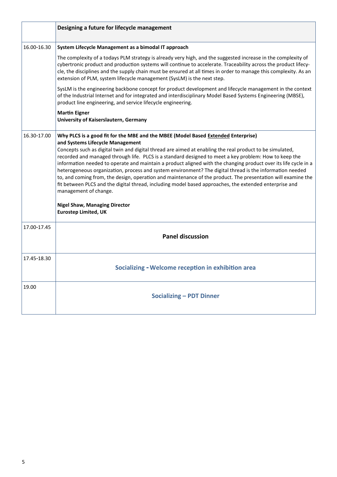|             | Designing a future for lifecycle management                                                                                                                                                                                                                                                                                                                                                                                                                                                                                                                                                                                                                                                                                                                                                                                                                                                         |  |
|-------------|-----------------------------------------------------------------------------------------------------------------------------------------------------------------------------------------------------------------------------------------------------------------------------------------------------------------------------------------------------------------------------------------------------------------------------------------------------------------------------------------------------------------------------------------------------------------------------------------------------------------------------------------------------------------------------------------------------------------------------------------------------------------------------------------------------------------------------------------------------------------------------------------------------|--|
| 16.00-16.30 | System Lifecycle Management as a bimodal IT approach                                                                                                                                                                                                                                                                                                                                                                                                                                                                                                                                                                                                                                                                                                                                                                                                                                                |  |
|             | The complexity of a todays PLM strategy is already very high, and the suggested increase in the complexity of<br>cybertronic product and production systems will continue to accelerate. Traceability across the product lifecy-<br>cle, the disciplines and the supply chain must be ensured at all times in order to manage this complexity. As an<br>extension of PLM, system lifecycle management (SysLM) is the next step.                                                                                                                                                                                                                                                                                                                                                                                                                                                                     |  |
|             | SysLM is the engineering backbone concept for product development and lifecycle management in the context<br>of the Industrial Internet and for integrated and interdisciplinary Model Based Systems Engineering (MBSE),<br>product line engineering, and service lifecycle engineering.                                                                                                                                                                                                                                                                                                                                                                                                                                                                                                                                                                                                            |  |
|             | <b>Martin Eigner</b><br>University of Kaiserslautern, Germany                                                                                                                                                                                                                                                                                                                                                                                                                                                                                                                                                                                                                                                                                                                                                                                                                                       |  |
| 16.30-17.00 | Why PLCS is a good fit for the MBE and the MBEE (Model Based Extended Enterprise)<br>and Systems Lifecycle Management<br>Concepts such as digital twin and digital thread are aimed at enabling the real product to be simulated,<br>recorded and managed through life. PLCS is a standard designed to meet a key problem: How to keep the<br>information needed to operate and maintain a product aligned with the changing product over its life cycle in a<br>heterogeneous organization, process and system environment? The digital thread is the information needed<br>to, and coming from, the design, operation and maintenance of the product. The presentation will examine the<br>fit between PLCS and the digital thread, including model based approaches, the extended enterprise and<br>management of change.<br><b>Nigel Shaw, Managing Director</b><br><b>Eurostep Limited, UK</b> |  |
| 17.00-17.45 | <b>Panel discussion</b>                                                                                                                                                                                                                                                                                                                                                                                                                                                                                                                                                                                                                                                                                                                                                                                                                                                                             |  |
| 17.45-18.30 | Socializing - Welcome reception in exhibition area                                                                                                                                                                                                                                                                                                                                                                                                                                                                                                                                                                                                                                                                                                                                                                                                                                                  |  |
| 19.00       | <b>Socializing - PDT Dinner</b>                                                                                                                                                                                                                                                                                                                                                                                                                                                                                                                                                                                                                                                                                                                                                                                                                                                                     |  |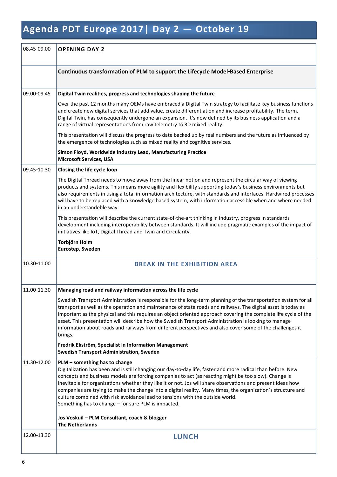## **Agenda PDT Europe 2017| Day 2 — October 19**

| 08.45-09.00 | <b>OPENING DAY 2</b>                                                                                                                                                                                                                                                                                                                                                                                                                                                                                                                                                                                                        |  |
|-------------|-----------------------------------------------------------------------------------------------------------------------------------------------------------------------------------------------------------------------------------------------------------------------------------------------------------------------------------------------------------------------------------------------------------------------------------------------------------------------------------------------------------------------------------------------------------------------------------------------------------------------------|--|
|             | Continuous transformation of PLM to support the Lifecycle Model-Based Enterprise                                                                                                                                                                                                                                                                                                                                                                                                                                                                                                                                            |  |
| 09.00-09.45 | Digital Twin realities, progress and technologies shaping the future                                                                                                                                                                                                                                                                                                                                                                                                                                                                                                                                                        |  |
|             | Over the past 12 months many OEMs have embraced a Digital Twin strategy to facilitate key business functions<br>and create new digital services that add value, create differentiation and increase profitability. The term,<br>Digital Twin, has consequently undergone an expansion. It's now defined by its business application and a<br>range of virtual representations from raw telemetry to 3D mixed reality.                                                                                                                                                                                                       |  |
|             | This presentation will discuss the progress to date backed up by real numbers and the future as influenced by<br>the emergence of technologies such as mixed reality and cognitive services.                                                                                                                                                                                                                                                                                                                                                                                                                                |  |
|             | Simon Floyd, Worldwide Industry Lead, Manufacturing Practice<br><b>Microsoft Services, USA</b>                                                                                                                                                                                                                                                                                                                                                                                                                                                                                                                              |  |
| 09.45-10.30 | Closing the life cycle loop                                                                                                                                                                                                                                                                                                                                                                                                                                                                                                                                                                                                 |  |
|             | The Digital Thread needs to move away from the linear notion and represent the circular way of viewing<br>products and systems. This means more agility and flexibility supporting today's business environments but<br>also requirements in using a total information architecture, with standards and interfaces. Hardwired processes<br>will have to be replaced with a knowledge based system, with information accessible when and where needed<br>in an understandeble way.                                                                                                                                           |  |
|             | This presentation will describe the current state-of-the-art thinking in industry, progress in standards<br>development including interoperability between standards. It will include pragmatic examples of the impact of<br>initiatives like IoT, Digital Thread and Twin and Circularity.                                                                                                                                                                                                                                                                                                                                 |  |
|             | Torbjörn Holm<br>Eurostep, Sweden                                                                                                                                                                                                                                                                                                                                                                                                                                                                                                                                                                                           |  |
| 10.30-11.00 | <b>BREAK IN THE EXHIBITION AREA</b>                                                                                                                                                                                                                                                                                                                                                                                                                                                                                                                                                                                         |  |
| 11.00-11.30 | Managing road and railway information across the life cycle                                                                                                                                                                                                                                                                                                                                                                                                                                                                                                                                                                 |  |
|             | Swedish Transport Administration is responsible for the long-term planning of the transportation system for all<br>transport as well as the operation and maintenance of state roads and railways. The digital asset is today as<br>important as the physical and this requires an object oriented approach covering the complete life cycle of the<br>asset. This presentation will describe how the Swedish Transport Administration is looking to manage<br>information about roads and railways from different perspectives and also cover some of the challenges it<br>brings.                                         |  |
|             | Fredrik Ekström, Specialist in Information Management<br><b>Swedish Transport Administration, Sweden</b>                                                                                                                                                                                                                                                                                                                                                                                                                                                                                                                    |  |
| 11.30-12.00 | PLM - something has to change<br>Digitalization has been and is still changing our day-to-day life, faster and more radical than before. New<br>concepts and business models are forcing companies to act (as reacting might be too slow). Change is<br>inevitable for organizations whether they like it or not. Jos will share observations and present ideas how<br>companies are trying to make the change into a digital reality. Many times, the organization's structure and<br>culture combined with risk avoidance lead to tensions with the outside world.<br>Something has to change - for sure PLM is impacted. |  |
|             | Jos Voskuil - PLM Consultant, coach & blogger<br><b>The Netherlands</b>                                                                                                                                                                                                                                                                                                                                                                                                                                                                                                                                                     |  |
| 12.00-13.30 | <b>LUNCH</b>                                                                                                                                                                                                                                                                                                                                                                                                                                                                                                                                                                                                                |  |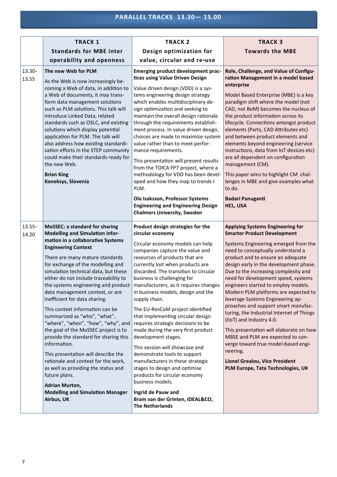|                 | <b>TRACK 1</b>                                                                                                                                                                                                                                                                                                                                                                                                                                                                                                                                                                                                                                                                                                                                                                                                  | <b>TRACK 2</b>                                                                                                                                                                                                                                                                                                                                                                                                                                                                                                                                                                                                                                                                                                                                                                                   | <b>TRACK 3</b>                                                                                                                                                                                                                                                                                                                                                                                                                                                                                                                                                                                                                                                                                                             |
|-----------------|-----------------------------------------------------------------------------------------------------------------------------------------------------------------------------------------------------------------------------------------------------------------------------------------------------------------------------------------------------------------------------------------------------------------------------------------------------------------------------------------------------------------------------------------------------------------------------------------------------------------------------------------------------------------------------------------------------------------------------------------------------------------------------------------------------------------|--------------------------------------------------------------------------------------------------------------------------------------------------------------------------------------------------------------------------------------------------------------------------------------------------------------------------------------------------------------------------------------------------------------------------------------------------------------------------------------------------------------------------------------------------------------------------------------------------------------------------------------------------------------------------------------------------------------------------------------------------------------------------------------------------|----------------------------------------------------------------------------------------------------------------------------------------------------------------------------------------------------------------------------------------------------------------------------------------------------------------------------------------------------------------------------------------------------------------------------------------------------------------------------------------------------------------------------------------------------------------------------------------------------------------------------------------------------------------------------------------------------------------------------|
|                 | <b>Standards for MBE inter</b>                                                                                                                                                                                                                                                                                                                                                                                                                                                                                                                                                                                                                                                                                                                                                                                  | Design optimization for                                                                                                                                                                                                                                                                                                                                                                                                                                                                                                                                                                                                                                                                                                                                                                          | <b>Towards the MBE</b>                                                                                                                                                                                                                                                                                                                                                                                                                                                                                                                                                                                                                                                                                                     |
|                 | operability and openness                                                                                                                                                                                                                                                                                                                                                                                                                                                                                                                                                                                                                                                                                                                                                                                        | value, circular and re-use                                                                                                                                                                                                                                                                                                                                                                                                                                                                                                                                                                                                                                                                                                                                                                       |                                                                                                                                                                                                                                                                                                                                                                                                                                                                                                                                                                                                                                                                                                                            |
| 13.30-<br>13.55 | The new Web for PLM<br>As the Web is now increasingly be-<br>coming a Web of data, in addition to<br>a Web of documents, it may trans-<br>form data management solutions<br>such as PLM solutions. This talk will<br>introduce Linked Data, related<br>standards such as OSLC, and existing<br>solutions which display potential<br>application for PLM. The talk will<br>also address how existing standardi-<br>zation efforts in the STEP community<br>could make their standards ready for<br>the new Web.<br><b>Brian King</b><br>Koneksys, Slovenia                                                                                                                                                                                                                                                       | <b>Emerging product development prac-</b><br>tices using Value Driven Design<br>Value driven design (VDD) is a sys-<br>tems engineering design strategy<br>which enables multidisciplinary de-<br>sign optimization and seeking to<br>maintain the overall design rationale<br>through the requirements establish-<br>ment process. In value driven design,<br>choices are made to maximize system<br>value rather than to meet perfor-<br>mance requirements.<br>This presentation will present results<br>from the TOICA FP7 project, where a<br>methodology for VDD has been devel-<br>oped and how they map to trends I<br>PLM.                                                                                                                                                              | Role, Challenge, and Value of Configu-<br>ration Management in a model based<br>enterprise<br>Model Based Enterprise (MBE) is a key<br>paradigm shift where the model (not<br>CAD, not BoM) becomes the nucleus of<br>the product information across its<br>lifecycle. Connections amongst product<br>elements (Parts, CAD Attributes etc)<br>and between product elements and<br>elements beyond engineering (service<br>instructions, data from IoT devices etc)<br>are all dependent on configuration<br>management (CM).<br>This paper aims to highlight CM chal-<br>lenges in MBE and give examples what<br>to do.                                                                                                    |
|                 |                                                                                                                                                                                                                                                                                                                                                                                                                                                                                                                                                                                                                                                                                                                                                                                                                 | Ola Isaksson, Professor Systems<br><b>Engineering and Engineering Design</b><br><b>Chalmers University, Sweden</b>                                                                                                                                                                                                                                                                                                                                                                                                                                                                                                                                                                                                                                                                               | <b>Badari Panuganti</b><br>HCL, USA                                                                                                                                                                                                                                                                                                                                                                                                                                                                                                                                                                                                                                                                                        |
| $13.55 -$       | <b>MoSSEC: a standard for sharing</b>                                                                                                                                                                                                                                                                                                                                                                                                                                                                                                                                                                                                                                                                                                                                                                           | Product design strategies for the                                                                                                                                                                                                                                                                                                                                                                                                                                                                                                                                                                                                                                                                                                                                                                | <b>Applying Systems Engineering for</b>                                                                                                                                                                                                                                                                                                                                                                                                                                                                                                                                                                                                                                                                                    |
| 14.20           | <b>Modelling and Simulation infor-</b><br>mation in a collaborative Systems<br><b>Engineering Context</b><br>There are many mature standards<br>for exchange of the modelling and<br>simulation technical data, but these<br>either do not include traceability to<br>the systems engineering and product<br>data management context, or are<br>inefficient for data sharing.<br>This context information can be<br>summarized as "who", "what",<br>"where", "when", "how", "why", and<br>the goal of the MoSSEC project is to<br>provide the standard for sharing this<br>information.<br>This presentation will describe the<br>rationale and context for the work,<br>as well as providing the status and<br>future plans.<br><b>Adrian Murton,</b><br><b>Modelling and Simulation Manager</b><br>Airbus, UK | circular economy<br>Circular economy models can help<br>companies capture the value and<br>resources of products that are<br>currently lost when products are<br>discarded. The transition to circular<br>business is challenging for<br>manufacturers, as it requires changes<br>in business models, design and the<br>supply chain.<br>The EU-ResCoM project identified<br>that implementing circular design<br>requires strategic decisions to be<br>made during the very first product<br>development stages.<br>This session will showcase and<br>demonstrate tools to support<br>manufacturers in these strategic<br>stages to design and optimise<br>products for circular economy<br>business models.<br>Ingrid de Pauw and<br>Bram van der Grinten, IDEAL&CO,<br><b>The Netherlands</b> | <b>Smarter Product Development</b><br>Systems Engineering emerged from the<br>need to conceptually understand a<br>product and to ensure an adequate<br>design early in the development phase.<br>Due to the increasing complexity and<br>need for development speed, systems<br>engineers started to employ models.<br>Modern PLM platforms are expected to<br>leverage Systems Engineering ap-<br>proaches and support smart manufac-<br>turing, the Industrial Internet of Things<br>(IIoT) and Industry 4.0.<br>This presentation will elaborate on how<br>MBSE and PLM are expected to con-<br>verge toward true model-based engi-<br>neering.<br>Lionel Grealou, Vice President<br>PLM Europe, Tata Technologies, UK |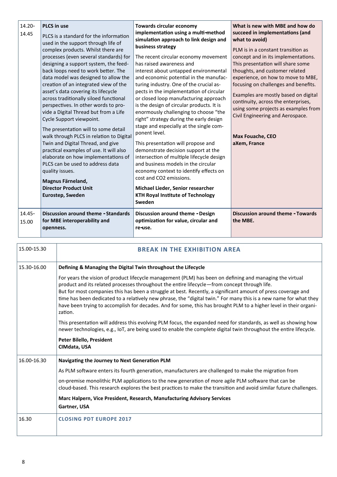| 14.20-<br>14.45 | <b>PLCS</b> in use<br>PLCS is a standard for the information<br>used in the support through life of<br>complex products. Whilst there are<br>processes (even several standards) for<br>designing a support system, the feed-<br>back loops need to work better. The<br>data model was designed to allow the<br>creation of an integrated view of the<br>asset's data covering its lifecycle<br>across traditionally siloed functional<br>perspectives. In other words to pro-<br>vide a Digital Thread but from a Life<br>Cycle Support viewpoint.<br>The presentation will to some detail<br>walk through PLCS in relation to Digital<br>Twin and Digital Thread, and give<br>practical examples of use. It will also<br>elaborate on how implementations of<br>PLCS can be used to address data<br>quality issues.<br>Magnus Färneland,<br><b>Director Product Unit</b><br>Eurostep, Sweden | Towards circular economy<br>implementation using a multi-method<br>simulation approach to link design and<br>business strategy<br>The recent circular economy movement<br>has raised awareness and<br>interest about untapped environmental<br>and economic potential in the manufac-<br>turing industry. One of the crucial as-<br>pects in the implementation of circular<br>or closed loop manufacturing approach<br>is the design of circular products. It is<br>enormously challenging to choose "the<br>right" strategy during the early design<br>stage and especially at the single com-<br>ponent level.<br>This presentation will propose and<br>demonstrate decision support at the<br>intersection of multiple lifecycle design<br>and business models in the circular<br>economy context to identify effects on<br>cost and CO2 emissions.<br>Michael Lieder, Senior researcher<br><b>KTH Royal Institute of Technology</b><br>Sweden | What is new with MBE and how do<br>succeed in implementations (and<br>what to avoid)<br>PLM is in a constant transition as<br>concept and in its implementations.<br>This presentation will share some<br>thoughts, and customer related<br>experience, on how to move to MBE,<br>focusing on challenges and benefits.<br>Examples are mostly based on digital<br>continuity, across the enterprises,<br>using some projects as examples from<br>Civil Engineering and Aerospace.<br><b>Max Fouache, CEO</b><br>aXem, France |
|-----------------|-----------------------------------------------------------------------------------------------------------------------------------------------------------------------------------------------------------------------------------------------------------------------------------------------------------------------------------------------------------------------------------------------------------------------------------------------------------------------------------------------------------------------------------------------------------------------------------------------------------------------------------------------------------------------------------------------------------------------------------------------------------------------------------------------------------------------------------------------------------------------------------------------|----------------------------------------------------------------------------------------------------------------------------------------------------------------------------------------------------------------------------------------------------------------------------------------------------------------------------------------------------------------------------------------------------------------------------------------------------------------------------------------------------------------------------------------------------------------------------------------------------------------------------------------------------------------------------------------------------------------------------------------------------------------------------------------------------------------------------------------------------------------------------------------------------------------------------------------------------|------------------------------------------------------------------------------------------------------------------------------------------------------------------------------------------------------------------------------------------------------------------------------------------------------------------------------------------------------------------------------------------------------------------------------------------------------------------------------------------------------------------------------|
| 14.45-<br>15.00 | <b>Discussion around theme - Standards</b><br>for MBE interoperability and<br>openness.                                                                                                                                                                                                                                                                                                                                                                                                                                                                                                                                                                                                                                                                                                                                                                                                       | Discussion around theme - Design<br>optimization for value, circular and<br>re-use.                                                                                                                                                                                                                                                                                                                                                                                                                                                                                                                                                                                                                                                                                                                                                                                                                                                                | <b>Discussion around theme - Towards</b><br>the MBE.                                                                                                                                                                                                                                                                                                                                                                                                                                                                         |

| 15.00-15.30 | <b>BREAK IN THE EXHIBITION AREA</b>                                                                                                                                                                                                                                                                                                                                                                                                                                                                                                                                            |
|-------------|--------------------------------------------------------------------------------------------------------------------------------------------------------------------------------------------------------------------------------------------------------------------------------------------------------------------------------------------------------------------------------------------------------------------------------------------------------------------------------------------------------------------------------------------------------------------------------|
| 15.30-16.00 | Defining & Managing the Digital Twin throughout the Lifecycle                                                                                                                                                                                                                                                                                                                                                                                                                                                                                                                  |
|             | For years the vision of product lifecycle management (PLM) has been on defining and managing the virtual<br>product and its related processes throughout the entire lifecycle-from concept through life.<br>But for most companies this has been a struggle at best. Recently, a significant amount of press coverage and<br>time has been dedicated to a relatively new phrase, the "digital twin." For many this is a new name for what they<br>have been trying to accomplish for decades. And for some, this has brought PLM to a higher level in their organi-<br>zation. |
|             | This presentation will address this evolving PLM focus, the expanded need for standards, as well as showing how<br>newer technologies, e.g., IoT, are being used to enable the complete digital twin throughout the entire lifecycle.                                                                                                                                                                                                                                                                                                                                          |
|             | Peter Bilello, President<br>CIMdata, USA                                                                                                                                                                                                                                                                                                                                                                                                                                                                                                                                       |
| 16.00-16.30 | Navigating the Journey to Next Generation PLM                                                                                                                                                                                                                                                                                                                                                                                                                                                                                                                                  |
|             | As PLM software enters its fourth generation, manufacturers are challenged to make the migration from                                                                                                                                                                                                                                                                                                                                                                                                                                                                          |
|             | on-premise monolithic PLM applications to the new generation of more agile PLM software that can be<br>cloud-based. This research explores the best practices to make the transition and avoid similar future challenges.                                                                                                                                                                                                                                                                                                                                                      |
|             | Marc Halpern, Vice President, Research, Manufacturing Advisory Services                                                                                                                                                                                                                                                                                                                                                                                                                                                                                                        |
|             | Gartner, USA                                                                                                                                                                                                                                                                                                                                                                                                                                                                                                                                                                   |
| 16.30       | <b>CLOSING PDT EUROPE 2017</b>                                                                                                                                                                                                                                                                                                                                                                                                                                                                                                                                                 |